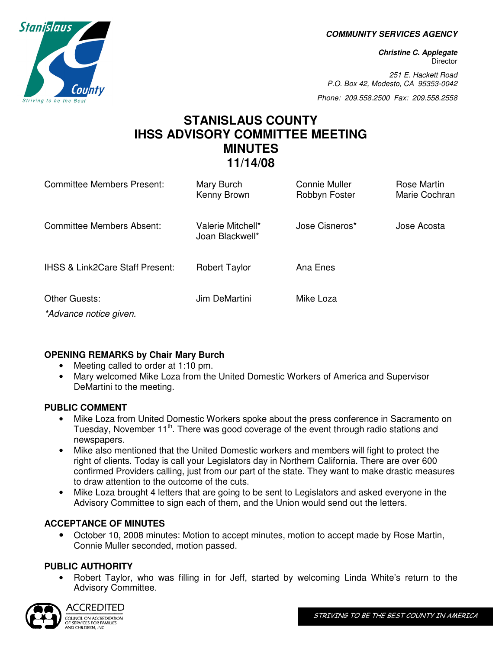**COMMUNITY SERVICES AGENCY** 

**Christine C. Applegate Director** 

251 E. Hackett Road P.O. Box 42, Modesto, CA 95353-0042

Phone: 209.558.2500 Fax: 209.558.2558

# **STANISLAUS COUNTY IHSS ADVISORY COMMITTEE MEETING MINUTES 11/14/08**

| Committee Members Present:                 | Mary Burch<br>Kenny Brown            | Connie Muller<br>Robbyn Foster | Rose Martin<br>Marie Cochran |
|--------------------------------------------|--------------------------------------|--------------------------------|------------------------------|
| Committee Members Absent:                  | Valerie Mitchell*<br>Joan Blackwell* | Jose Cisneros*                 | Jose Acosta                  |
| <b>IHSS &amp; Link2Care Staff Present:</b> | <b>Robert Taylor</b>                 | Ana Enes                       |                              |
| Other Guests:<br>*Advance notice given.    | Jim DeMartini                        | Mike Loza                      |                              |

## **OPENING REMARKS by Chair Mary Burch**

- Meeting called to order at 1:10 pm.
- Mary welcomed Mike Loza from the United Domestic Workers of America and Supervisor DeMartini to the meeting.

### **PUBLIC COMMENT**

- Mike Loza from United Domestic Workers spoke about the press conference in Sacramento on Tuesday, November 11<sup>th</sup>. There was good coverage of the event through radio stations and newspapers.
- Mike also mentioned that the United Domestic workers and members will fight to protect the right of clients. Today is call your Legislators day in Northern California. There are over 600 confirmed Providers calling, just from our part of the state. They want to make drastic measures to draw attention to the outcome of the cuts.
- Mike Loza brought 4 letters that are going to be sent to Legislators and asked everyone in the Advisory Committee to sign each of them, and the Union would send out the letters.

## **ACCEPTANCE OF MINUTES**

• October 10, 2008 minutes: Motion to accept minutes, motion to accept made by Rose Martin, Connie Muller seconded, motion passed.

## **PUBLIC AUTHORITY**

• Robert Taylor, who was filling in for Jeff, started by welcoming Linda White's return to the Advisory Committee.